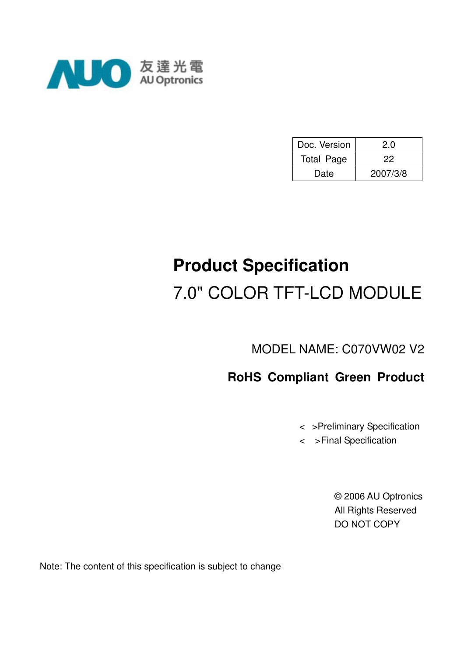

| Doc. Version      | 2.0      |
|-------------------|----------|
| <b>Total Page</b> | 22       |
| Date              | 2007/3/8 |

# **Product Specification**  7.0" COLOR TFT-LCD MODULE

MODEL NAME: C070VW02 V2

# **RoHS Compliant Green Product**

<>Preliminary Specification

< >Final Specification

© 2006 AU Optronics All Rights Reserved DO NOT COPY

Note: The content of this specification is subject to change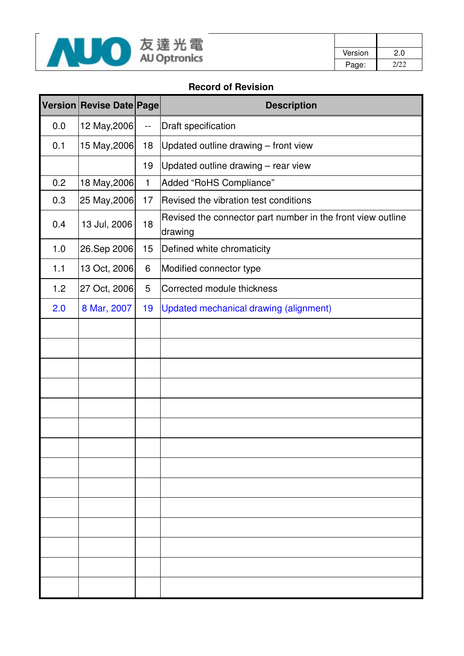

| Version | 2.0  |
|---------|------|
| Page:   | 2/22 |

#### **Record of Revision**

|     | Version Revise Date Page |              | <b>Description</b>                                                     |
|-----|--------------------------|--------------|------------------------------------------------------------------------|
| 0.0 | 12 May, 2006             | $-$          | Draft specification                                                    |
| 0.1 | 15 May, 2006             | 18           | Updated outline drawing - front view                                   |
|     |                          | 19           | Updated outline drawing - rear view                                    |
| 0.2 | 18 May, 2006             | $\mathbf{1}$ | Added "RoHS Compliance"                                                |
| 0.3 | 25 May, 2006             | 17           | Revised the vibration test conditions                                  |
| 0.4 | 13 Jul, 2006             | 18           | Revised the connector part number in the front view outline<br>drawing |
| 1.0 | 26.Sep 2006              | 15           | Defined white chromaticity                                             |
| 1.1 | 13 Oct, 2006             | 6            | Modified connector type                                                |
| 1.2 | 27 Oct, 2006             | 5            | Corrected module thickness                                             |
| 2.0 | 8 Mar, 2007              | 19           | Updated mechanical drawing (alignment)                                 |
|     |                          |              |                                                                        |
|     |                          |              |                                                                        |
|     |                          |              |                                                                        |
|     |                          |              |                                                                        |
|     |                          |              |                                                                        |
|     |                          |              |                                                                        |
|     |                          |              |                                                                        |
|     |                          |              |                                                                        |
|     |                          |              |                                                                        |
|     |                          |              |                                                                        |
|     |                          |              |                                                                        |
|     |                          |              |                                                                        |
|     |                          |              |                                                                        |
|     |                          |              |                                                                        |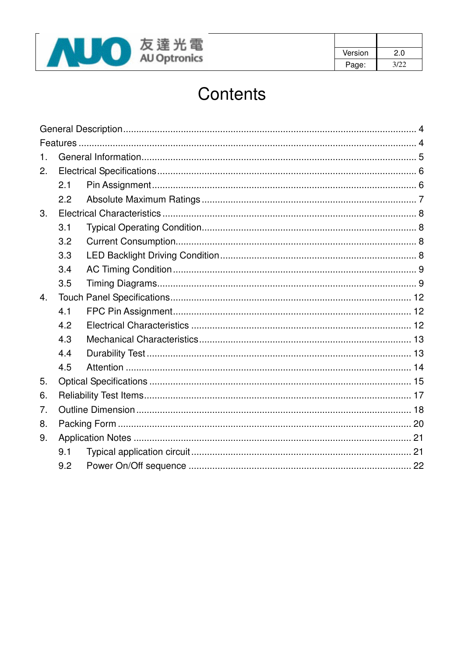

| Version | 2.0  |
|---------|------|
| Page:   | 3/22 |

# Contents

| 1. |     |  |  |  |  |  |  |
|----|-----|--|--|--|--|--|--|
| 2. |     |  |  |  |  |  |  |
|    | 2.1 |  |  |  |  |  |  |
|    | 2.2 |  |  |  |  |  |  |
| 3. |     |  |  |  |  |  |  |
|    | 3.1 |  |  |  |  |  |  |
|    | 3.2 |  |  |  |  |  |  |
|    | 3.3 |  |  |  |  |  |  |
|    | 3.4 |  |  |  |  |  |  |
|    | 3.5 |  |  |  |  |  |  |
| 4. |     |  |  |  |  |  |  |
|    | 4.1 |  |  |  |  |  |  |
|    | 4.2 |  |  |  |  |  |  |
|    | 4.3 |  |  |  |  |  |  |
|    | 4.4 |  |  |  |  |  |  |
|    | 4.5 |  |  |  |  |  |  |
| 5. |     |  |  |  |  |  |  |
| 6. |     |  |  |  |  |  |  |
| 7. |     |  |  |  |  |  |  |
| 8. |     |  |  |  |  |  |  |
| 9. |     |  |  |  |  |  |  |
|    | 9.1 |  |  |  |  |  |  |
|    | 9.2 |  |  |  |  |  |  |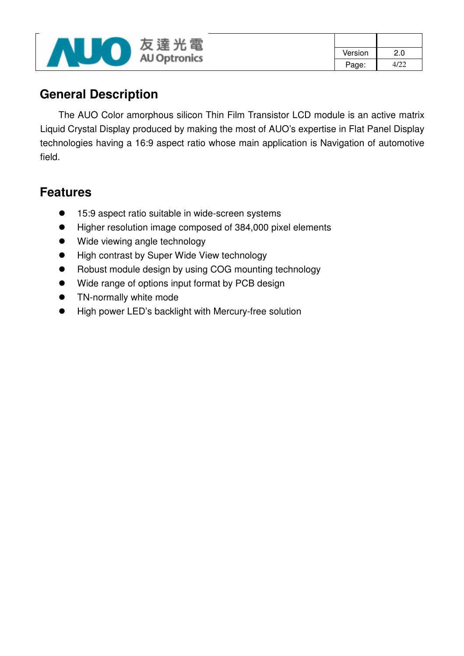

| Version | 2.0  |
|---------|------|
| Page:   | 4122 |

## **General Description**

The AUO Color amorphous silicon Thin Film Transistor LCD module is an active matrix Liquid Crystal Display produced by making the most of AUO's expertise in Flat Panel Display technologies having a 16:9 aspect ratio whose main application is Navigation of automotive field.

## **Features**

- 15:9 aspect ratio suitable in wide-screen systems
- Higher resolution image composed of 384,000 pixel elements
- Wide viewing angle technology
- High contrast by Super Wide View technology
- Robust module design by using COG mounting technology
- Wide range of options input format by PCB design
- **•** TN-normally white mode
- High power LED's backlight with Mercury-free solution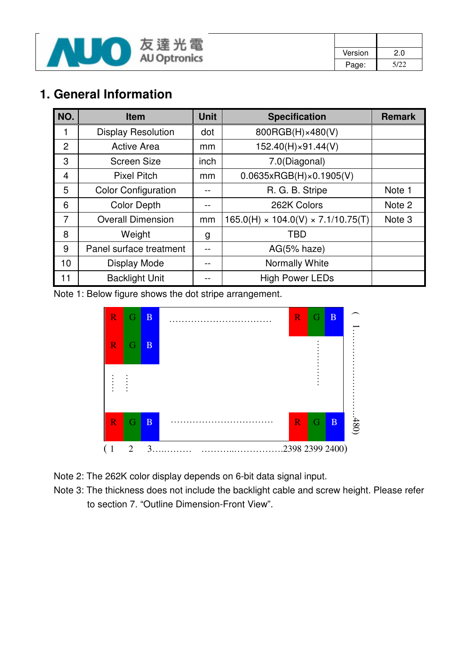

| Version | 2.0  |
|---------|------|
| Page:   | 5/22 |

# **1. General Information**

| NO.            | <b>Item</b>                | <b>Unit</b> | <b>Specification</b>                           | <b>Remark</b>     |
|----------------|----------------------------|-------------|------------------------------------------------|-------------------|
|                | <b>Display Resolution</b>  | dot         | 800RGB(H)×480(V)                               |                   |
| 2              | <b>Active Area</b>         | mm          | 152.40(H)×91.44(V)                             |                   |
| 3              | <b>Screen Size</b>         | inch        | 7.0(Diagonal)                                  |                   |
| 4              | <b>Pixel Pitch</b>         | mm          | 0.0635xRGB(H)x0.1905(V)                        |                   |
| 5              | <b>Color Configuration</b> |             | R. G. B. Stripe                                | Note 1            |
| 6              | <b>Color Depth</b>         |             | 262K Colors                                    | Note 2            |
| $\overline{7}$ | <b>Overall Dimension</b>   | mm          | $165.0(H) \times 104.0(V) \times 7.1/10.75(T)$ | Note <sub>3</sub> |
| 8              | Weight                     | g           | <b>TBD</b>                                     |                   |
| 9              | Panel surface treatment    |             | $AG(5% \text{ haze})$                          |                   |
| 10             | <b>Display Mode</b>        |             | Normally White                                 |                   |
| 11             | <b>Backlight Unit</b>      |             | <b>High Power LEDs</b>                         |                   |

Note 1: Below figure shows the dot stripe arrangement.



Note 2: The 262K color display depends on 6-bit data signal input.

Note 3: The thickness does not include the backlight cable and screw height. Please refer to section 7. "Outline Dimension-Front View".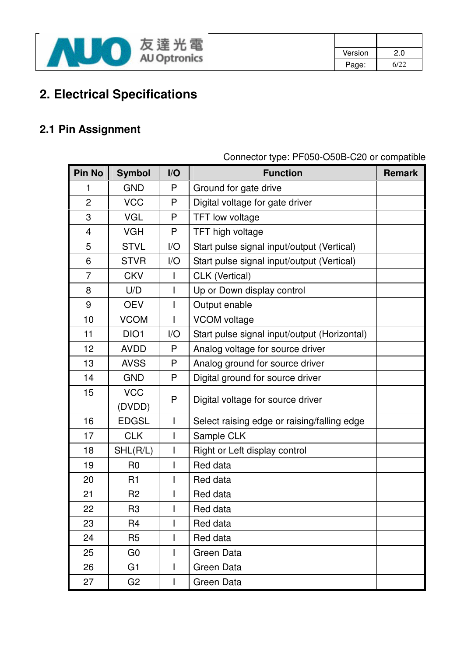

| Version | 2.0  |
|---------|------|
| Page:   | 6/22 |

# **2. Electrical Specifications**

# **2.1 Pin Assignment**

| Pin No         | <b>Symbol</b>  | I/O          | <b>Function</b>                              | <b>Remark</b> |
|----------------|----------------|--------------|----------------------------------------------|---------------|
| 1              | <b>GND</b>     | P            | Ground for gate drive                        |               |
| $\overline{2}$ | <b>VCC</b>     | P            | Digital voltage for gate driver              |               |
| 3              | <b>VGL</b>     | P            | <b>TFT low voltage</b>                       |               |
| 4              | <b>VGH</b>     | P            | TFT high voltage                             |               |
| 5              | <b>STVL</b>    | I/O          | Start pulse signal input/output (Vertical)   |               |
| 6              | <b>STVR</b>    | I/O          | Start pulse signal input/output (Vertical)   |               |
| $\overline{7}$ | <b>CKV</b>     | $\mathsf{I}$ | CLK (Vertical)                               |               |
| 8              | U/D            |              | Up or Down display control                   |               |
| 9              | <b>OEV</b>     |              | Output enable                                |               |
| 10             | <b>VCOM</b>    |              | <b>VCOM</b> voltage                          |               |
| 11             | DIO1           | I/O          | Start pulse signal input/output (Horizontal) |               |
| 12             | <b>AVDD</b>    | P            | Analog voltage for source driver             |               |
| 13             | <b>AVSS</b>    | P            | Analog ground for source driver              |               |
| 14             | <b>GND</b>     | P            | Digital ground for source driver             |               |
| 15             | <b>VCC</b>     | P            |                                              |               |
|                | (DVDD)         |              | Digital voltage for source driver            |               |
| 16             | <b>EDGSL</b>   | L            | Select raising edge or raising/falling edge  |               |
| 17             | <b>CLK</b>     |              | Sample CLK                                   |               |
| 18             | SHL(R/L)       |              | Right or Left display control                |               |
| 19             | R <sub>0</sub> | I            | Red data                                     |               |
| 20             | R1             |              | Red data                                     |               |
| 21             | R <sub>2</sub> |              | Red data                                     |               |
| 22             | R3             |              | Red data                                     |               |
| 23             | R <sub>4</sub> |              | Red data                                     |               |
| 24             | R <sub>5</sub> |              | Red data                                     |               |
| 25             | G <sub>0</sub> |              | Green Data                                   |               |
| 26             | G <sub>1</sub> | L            | Green Data                                   |               |
| 27             | G <sub>2</sub> | L            | Green Data                                   |               |

Connector type: PF050-O50B-C20 or compatible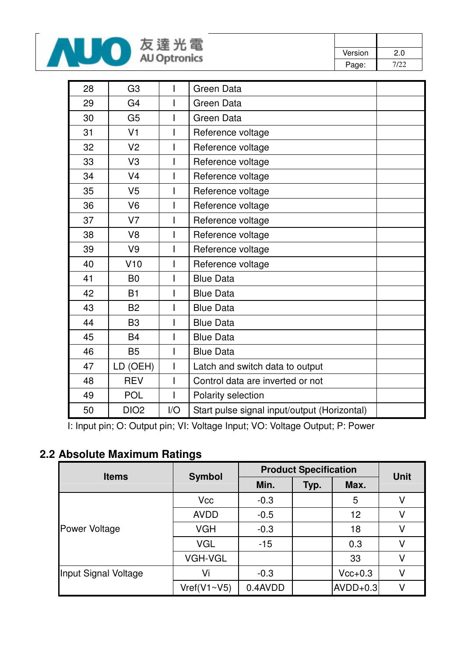

| Version | 2.0  |
|---------|------|
| Page:   | 7/22 |

| 28 | G <sub>3</sub>   |     | Green Data                                   |
|----|------------------|-----|----------------------------------------------|
| 29 | G <sub>4</sub>   |     | Green Data                                   |
| 30 | G <sub>5</sub>   |     | <b>Green Data</b>                            |
| 31 | V <sub>1</sub>   |     | Reference voltage                            |
| 32 | V <sub>2</sub>   |     | Reference voltage                            |
| 33 | V <sub>3</sub>   |     | Reference voltage                            |
| 34 | V <sub>4</sub>   |     | Reference voltage                            |
| 35 | V <sub>5</sub>   |     | Reference voltage                            |
| 36 | V <sub>6</sub>   |     | Reference voltage                            |
| 37 | V <sub>7</sub>   |     | Reference voltage                            |
| 38 | V <sub>8</sub>   |     | Reference voltage                            |
| 39 | V <sub>9</sub>   |     | Reference voltage                            |
| 40 | V10              |     | Reference voltage                            |
| 41 | <b>B0</b>        |     | <b>Blue Data</b>                             |
| 42 | <b>B1</b>        |     | <b>Blue Data</b>                             |
| 43 | <b>B2</b>        |     | <b>Blue Data</b>                             |
| 44 | B <sub>3</sub>   |     | <b>Blue Data</b>                             |
| 45 | <b>B4</b>        |     | <b>Blue Data</b>                             |
| 46 | <b>B5</b>        |     | <b>Blue Data</b>                             |
| 47 | LD (OEH)         |     | Latch and switch data to output              |
| 48 | <b>REV</b>       |     | Control data are inverted or not             |
| 49 | <b>POL</b>       |     | Polarity selection                           |
| 50 | DIO <sub>2</sub> | I/O | Start pulse signal input/output (Horizontal) |

I: Input pin; O: Output pin; VI: Voltage Input; VO: Voltage Output; P: Power

## **2.2 Absolute Maximum Ratings**

| <b>Items</b>         | <b>Symbol</b>  | <b>Product Specification</b> | <b>Unit</b> |            |   |
|----------------------|----------------|------------------------------|-------------|------------|---|
|                      |                | Min.                         | Typ.        | Max.       |   |
|                      | <b>Vcc</b>     | $-0.3$                       |             | 5          | V |
|                      | <b>AVDD</b>    | $-0.5$                       |             | 12         | V |
| Power Voltage        | <b>VGH</b>     | $-0.3$                       |             | 18         | V |
|                      | <b>VGL</b>     | $-15$                        |             | 0.3        | V |
|                      | <b>VGH-VGL</b> |                              |             | 33         | V |
| Input Signal Voltage | Vi             | $-0.3$                       |             | $Vcc+0.3$  | V |
|                      | Vref(V1~V5)    | 0.4AVDD                      |             | $AVDD+0.3$ | V |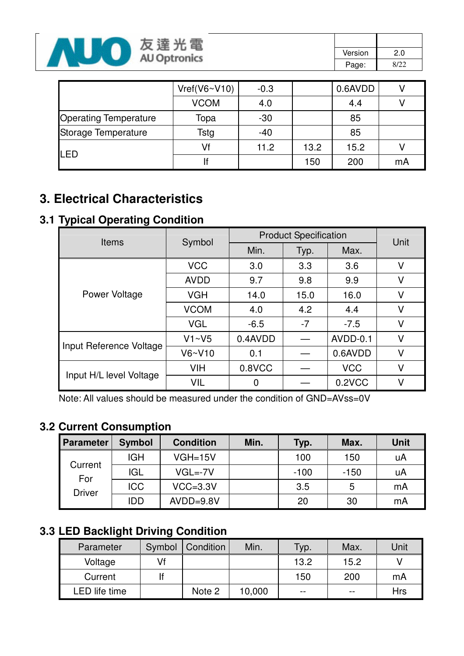

| Version | 2.0  |
|---------|------|
| Page:   | 8/22 |

|                              | Vref(V6~V10) | $-0.3$ |      | 0.6AVDD |    |
|------------------------------|--------------|--------|------|---------|----|
|                              | <b>VCOM</b>  | 4.0    |      | 4.4     |    |
| <b>Operating Temperature</b> | Topa         | $-30$  |      | 85      |    |
| Storage Temperature          | Tstg         | $-40$  |      | 85      |    |
| LED                          | Vf           | 11.2   | 13.2 | 15.2    |    |
|                              |              |        | 150  | 200     | mA |

# **3. Electrical Characteristics**

### **3.1 Typical Operating Condition**

| <b>Items</b>            | Symbol      | <b>Product Specification</b> | Unit         |            |   |
|-------------------------|-------------|------------------------------|--------------|------------|---|
|                         |             | Min.                         | Typ.         | Max.       |   |
|                         | <b>VCC</b>  | 3.0                          | 3.3          | 3.6        | v |
|                         | <b>AVDD</b> | 9.7                          | 9.8          | 9.9        | V |
| Power Voltage           | <b>VGH</b>  | 14.0                         | 15.0<br>16.0 |            | V |
|                         | <b>VCOM</b> | 4.0                          | 4.2          | 4.4        | V |
|                         | <b>VGL</b>  | $-6.5$                       | $-7$         | $-7.5$     | V |
|                         | V1~V5       | 0.4AVDD                      |              | AVDD-0.1   | V |
| Input Reference Voltage | V6~V10      | 0.1                          |              | 0.6AVDD    | V |
|                         | <b>VIH</b>  | 0.8VCC                       |              | <b>VCC</b> | V |
| Input H/L level Voltage | <b>VIL</b>  | 0                            |              | 0.2VCC     | V |

Note: All values should be measured under the condition of GND=AVss=0V

### **3.2 Current Consumption**

| Parameter      | <b>Symbol</b> | <b>Condition</b> | Min. | Typ.   | Max.   | <b>Unit</b> |
|----------------|---------------|------------------|------|--------|--------|-------------|
|                | <b>IGH</b>    | $VGH=15V$        |      | 100    | 150    | uA          |
| Current<br>For | <b>IGL</b>    | $VGL = -7V$      |      | $-100$ | $-150$ | uA          |
| <b>Driver</b>  | <b>ICC</b>    | $VCC = 3.3V$     |      | 3.5    | 5      | mA          |
|                | IDD           | $AVDD=9.8V$      |      | 20     | 30     | mA          |

### **3.3 LED Backlight Driving Condition**

| Parameter     | Symbol | Condition | Min.   | Typ.  | Max.  | Unit |
|---------------|--------|-----------|--------|-------|-------|------|
| Voltage       | Vf     |           |        | 13.2  | 15.2  |      |
| Current       |        |           |        | 150   | 200   | mA   |
| LED life time |        | Note 2    | 10,000 | $- -$ | $- -$ | Hrs  |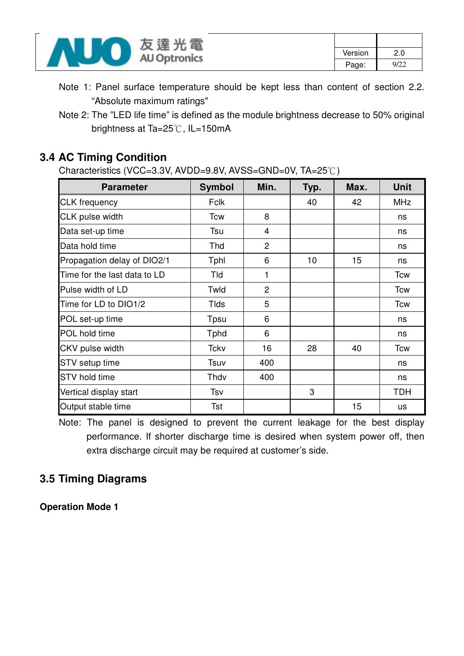

Note 1: Panel surface temperature should be kept less than content of section 2.2. "Absolute maximum ratings"

### **3.4 AC Timing Condition**

Characteristics (VCC=3.3V, AVDD=9.8V, AVSS=GND=0V, TA=25°C)

| <b>Parameter</b>             | <b>Symbol</b> | Min.           | Typ. | Max. | <b>Unit</b> |
|------------------------------|---------------|----------------|------|------|-------------|
| <b>CLK</b> frequency         | <b>Fclk</b>   |                | 40   | 42   | <b>MHz</b>  |
| CLK pulse width              | <b>Tcw</b>    | 8              |      |      | ns          |
| Data set-up time             | Tsu           | 4              |      |      | ns          |
| Data hold time               | Thd           | $\overline{2}$ |      |      | ns          |
| Propagation delay of DIO2/1  | Tphl          | 6              | 10   | 15   | ns          |
| Time for the last data to LD | Tld           | 1              |      |      | Tcw         |
| Pulse width of LD            | Twld          | $\overline{2}$ |      |      | <b>Tcw</b>  |
| Time for LD to DIO1/2        | <b>Tlds</b>   | 5              |      |      | <b>Tcw</b>  |
| POL set-up time              | Tpsu          | 6              |      |      | ns          |
| POL hold time                | <b>T</b> phd  | 6              |      |      | ns          |
| CKV pulse width              | Tckv          | 16             | 28   | 40   | <b>Tcw</b>  |
| <b>STV</b> setup time        | Tsuv          | 400            |      |      | ns          |
| <b>STV</b> hold time         | Thdv          | 400            |      |      | ns          |
| Vertical display start       | Tsv           |                | 3    |      | <b>TDH</b>  |
| Output stable time           | Tst           |                |      | 15   | us          |

Note: The panel is designed to prevent the current leakage for the best display performance. If shorter discharge time is desired when system power off, then extra discharge circuit may be required at customer's side.

### **3.5 Timing Diagrams**

**Operation Mode 1** 

Note 2: The "LED life time" is defined as the module brightness decrease to 50% original brightness at Ta=25°C, IL=150mA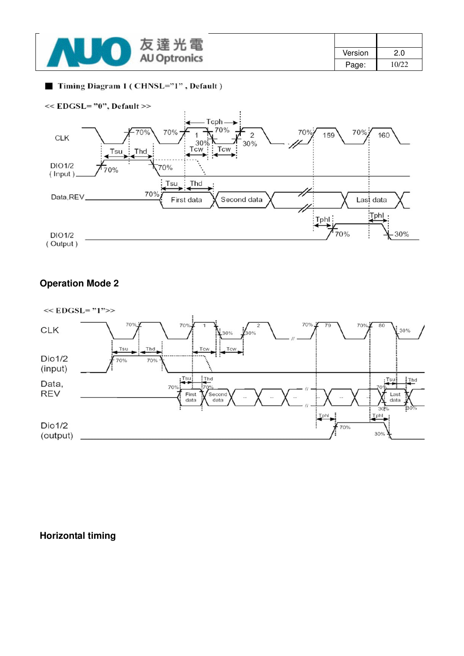| 電<br>连<br>$\propto$      |         |       |
|--------------------------|---------|-------|
| 兀<br><b>AU Optronics</b> | Version | 2.0   |
|                          | Page:   | 10/22 |

#### Timing Diagram 1 (CHNSL="1", Default)



#### **Operation Mode 2**



#### **Horizontal timing**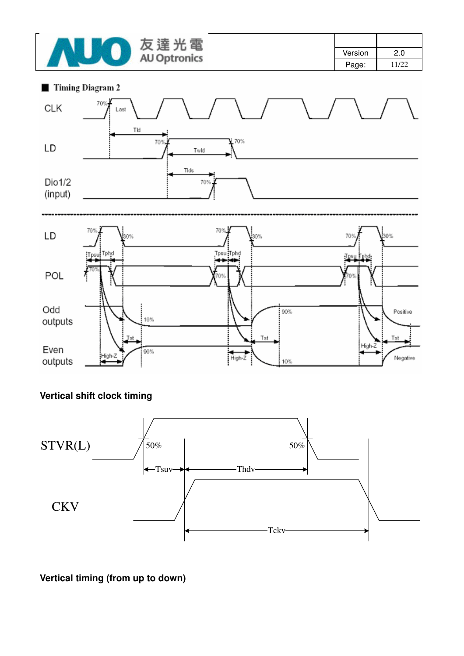

| Version | 2.0   |
|---------|-------|
| Page:   | 11/22 |





### **Vertical shift clock timing**



#### **Vertical timing (from up to down)**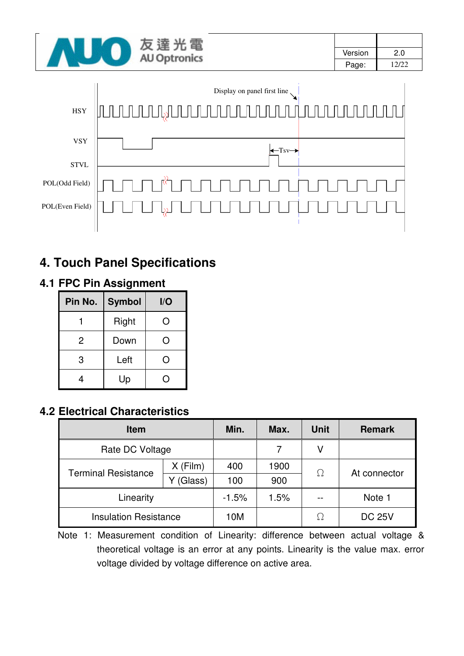| 도급                  |         |       |
|---------------------|---------|-------|
| <b>AU Optronics</b> | Version | 2.0   |
|                     | Page:   | 12/22 |



# **4. Touch Panel Specifications**

### **4.1 FPC Pin Assignment**

| Pin No.        | <b>Symbol</b> | I/O    |
|----------------|---------------|--------|
|                | Right         | $\Box$ |
| $\overline{2}$ | Down          |        |
| 3              | Left          |        |
|                | Up            |        |

### **4.2 Electrical Characteristics**

| <b>Item</b>                  |            | Min.    | Max. | <b>Unit</b> | <b>Remark</b> |
|------------------------------|------------|---------|------|-------------|---------------|
| Rate DC Voltage              |            |         |      | ٧           |               |
|                              | $X$ (Film) | 400     | 1900 | $\Omega$    | At connector  |
| <b>Terminal Resistance</b>   | (Glass)    | 100     | 900  |             |               |
| Linearity                    |            | $-1.5%$ | 1.5% |             | Note 1        |
| <b>Insulation Resistance</b> |            | 10M     |      | Ω           | <b>DC 25V</b> |

Note 1: Measurement condition of Linearity: difference between actual voltage & theoretical voltage is an error at any points. Linearity is the value max. error voltage divided by voltage difference on active area.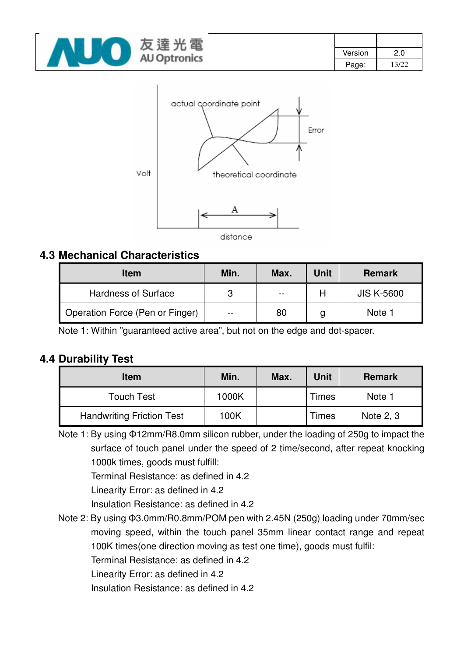



### **4.3 Mechanical Characteristics**

| <b>Item</b>                     | Min.  | Max.                     | Unit | <b>Remark</b>     |
|---------------------------------|-------|--------------------------|------|-------------------|
| <b>Hardness of Surface</b>      | 3     | $\overline{\phantom{m}}$ |      | <b>JIS K-5600</b> |
| Operation Force (Pen or Finger) | $- -$ | 80                       | g    | Note 1            |

Note 1: Within "guaranteed active area", but not on the edge and dot-spacer.

### **4.4 Durability Test**

| <b>Item</b>                      | Min.  | Max. | <b>Unit</b> | <b>Remark</b> |
|----------------------------------|-------|------|-------------|---------------|
| <b>Touch Test</b>                | 1000K |      | Times       | Note 1        |
| <b>Handwriting Friction Test</b> | 100K  |      | Times       | Note 2, 3     |

Note 1: By using Φ12mm/R8.0mm silicon rubber, under the loading of 250g to impact the surface of touch panel under the speed of 2 time/second, after repeat knocking 1000k times, goods must fulfill:

Terminal Resistance: as defined in 4.2

Linearity Error: as defined in 4.2

Insulation Resistance: as defined in 4.2

Note 2: By using Φ3.0mm/R0.8mm/POM pen with 2.45N (250g) loading under 70mm/sec moving speed, within the touch panel 35mm linear contact range and repeat 100K times(one direction moving as test one time), goods must fulfil:

Terminal Resistance: as defined in 4.2

Linearity Error: as defined in 4.2

Insulation Resistance: as defined in 4.2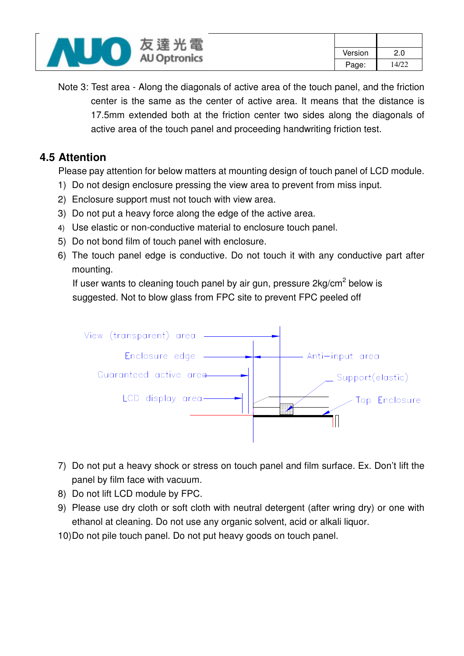

Note 3: Test area - Along the diagonals of active area of the touch panel, and the friction center is the same as the center of active area. It means that the distance is 17.5mm extended both at the friction center two sides along the diagonals of active area of the touch panel and proceeding handwriting friction test.

### **4.5 Attention**

Please pay attention for below matters at mounting design of touch panel of LCD module.

- 1) Do not design enclosure pressing the view area to prevent from miss input.
- 2) Enclosure support must not touch with view area.
- 3) Do not put a heavy force along the edge of the active area.
- 4) Use elastic or non-conductive material to enclosure touch panel.
- 5) Do not bond film of touch panel with enclosure.
- 6) The touch panel edge is conductive. Do not touch it with any conductive part after mounting.

If user wants to cleaning touch panel by air gun, pressure  $2kg/cm<sup>2</sup>$  below is suggested. Not to blow glass from FPC site to prevent FPC peeled off



- 7) Do not put a heavy shock or stress on touch panel and film surface. Ex. Don't lift the panel by film face with vacuum.
- 8) Do not lift LCD module by FPC.
- 9) Please use dry cloth or soft cloth with neutral detergent (after wring dry) or one with ethanol at cleaning. Do not use any organic solvent, acid or alkali liquor.
- 10) Do not pile touch panel. Do not put heavy goods on touch panel.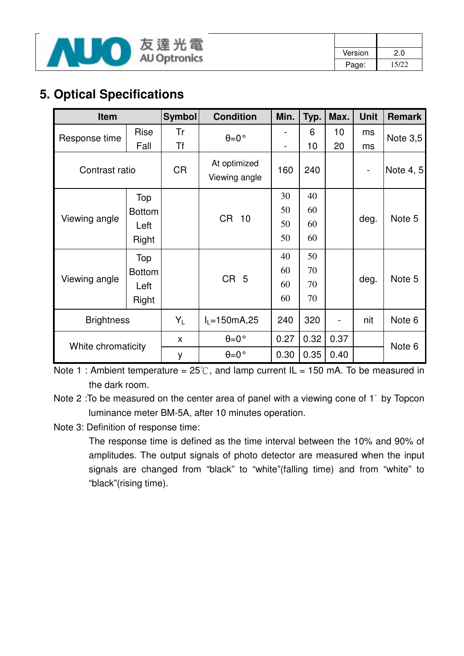

| Version | 2.0   |
|---------|-------|
| Page:   | 15/22 |

# **5. Optical Specifications**

| <b>Item</b>        |               | <b>Symbol</b> | <b>Condition</b>              | Min.                         | Typ. | Max.                         | <b>Unit</b>                  | <b>Remark</b> |
|--------------------|---------------|---------------|-------------------------------|------------------------------|------|------------------------------|------------------------------|---------------|
| Response time      | <b>Rise</b>   | Tr            | $\theta = 0$ °                |                              | 6    | 10                           | ms                           | Note 3,5      |
|                    | Fall          | <b>Tf</b>     |                               | $\qquad \qquad \blacksquare$ | 10   | 20                           | ms                           |               |
| Contrast ratio     |               | <b>CR</b>     | At optimized<br>Viewing angle | 160                          | 240  |                              | $\qquad \qquad \blacksquare$ | Note 4, 5     |
|                    | Top           |               |                               | 30                           | 40   |                              |                              |               |
|                    | <b>Bottom</b> |               |                               | 50                           | 60   |                              | deg.                         | Note 5        |
| Viewing angle      | Left          |               | <b>CR</b><br>10               | 50                           | 60   |                              |                              |               |
|                    | Right         |               |                               | 50                           | 60   |                              |                              |               |
|                    | Top           |               |                               | 40                           | 50   |                              |                              |               |
|                    | <b>Bottom</b> |               |                               | 60                           | 70   |                              | deg.                         | Note 5        |
| Viewing angle      | Left          |               | CR <sub>5</sub>               | 60                           | 70   |                              |                              |               |
|                    | Right         |               |                               | 60                           | 70   |                              |                              |               |
| <b>Brightness</b>  |               | $Y_L$         | $I_L = 150mA, 25$             | 240                          | 320  | $\qquad \qquad \blacksquare$ | nit                          | Note 6        |
|                    |               | X             | $\theta = 0$ °                | 0.27                         | 0.32 | 0.37                         |                              | Note 6        |
| White chromaticity |               | y             | $\theta = 0$ °                | 0.30                         | 0.35 | 0.40                         |                              |               |

Note 1 : Ambient temperature =  $25^{\circ}$ C, and lamp current IL = 150 mA. To be measured in the dark room.

Note 2 :To be measured on the center area of panel with a viewing cone of 1̓ by Topcon luminance meter BM-5A, after 10 minutes operation.

Note 3: Definition of response time:

The response time is defined as the time interval between the 10% and 90% of amplitudes. The output signals of photo detector are measured when the input signals are changed from "black" to "white"(falling time) and from "white" to "black"(rising time).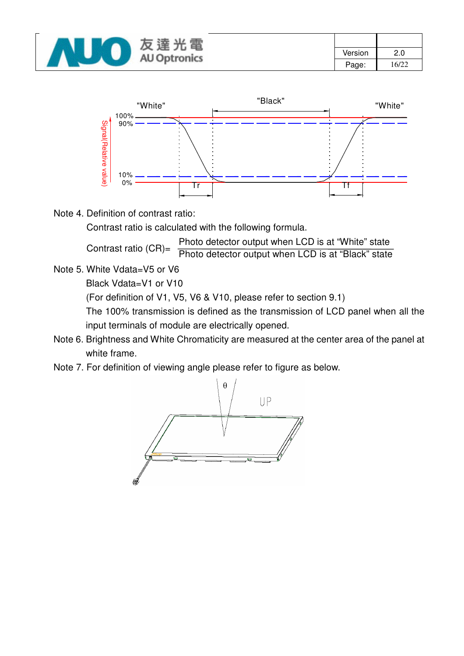| 達<br>黾<br>反              |         |       |
|--------------------------|---------|-------|
| 兀<br><b>AU Optronics</b> | Version | 2.0   |
|                          | Page:   | 16/22 |



Note 4. Definition of contrast ratio:

Contrast ratio is calculated with the following formula.

Photo detector output when LCD is at "White" state

Contrast ratio (CR)= Photo detector output when LCD is at "Black" state

Note 5. White Vdata=V5 or V6

Black Vdata=V1 or V10

(For definition of V1, V5, V6 & V10, please refer to section 9.1)

The 100% transmission is defined as the transmission of LCD panel when all the input terminals of module are electrically opened.

- Note 6. Brightness and White Chromaticity are measured at the center area of the panel at white frame.
- Note 7. For definition of viewing angle please refer to figure as below.

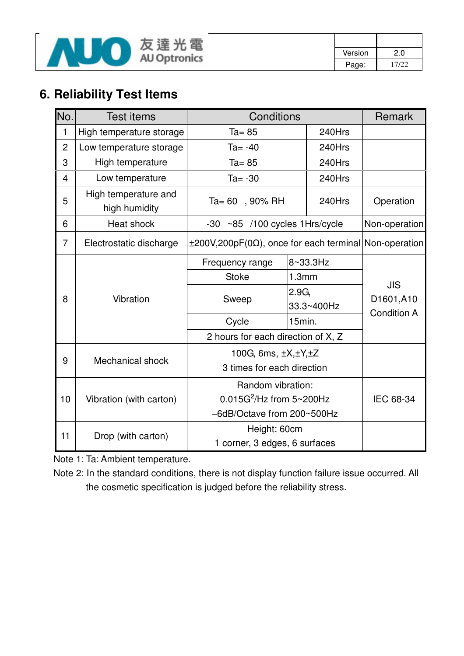

| Version | 2.0   |
|---------|-------|
| Page:   | 17/22 |

# **6. Reliability Test Items**

| No.            | <b>Test items</b>                     | Conditions                                                        |        |            | Remark             |  |
|----------------|---------------------------------------|-------------------------------------------------------------------|--------|------------|--------------------|--|
| 1              | High temperature storage              | $Ta = 85$                                                         |        | 240Hrs     |                    |  |
| $\overline{2}$ | Low temperature storage               | $Ta = -40$                                                        |        | 240Hrs     |                    |  |
| 3              | High temperature                      | $Ta = 85$                                                         |        | 240Hrs     |                    |  |
| 4              | Low temperature                       | $Ta = -30$                                                        |        | 240Hrs     |                    |  |
| 5              | High temperature and<br>high humidity | Ta= 60, 90% RH                                                    |        | 240Hrs     | Operation          |  |
| 6              | Heat shock                            | ~85 /100 cycles 1Hrs/cycle<br>$-30$                               |        |            | Non-operation      |  |
| 7              | Electrostatic discharge               | $\pm 200V, 200pF(0\Omega)$ , once for each terminal Non-operation |        |            |                    |  |
|                |                                       | 8~33.3Hz<br>Frequency range                                       |        |            |                    |  |
|                |                                       | <b>Stoke</b>                                                      | 1.3mm  |            | <b>JIS</b>         |  |
| 8              | Vibration                             | 2.9G<br>Sweep                                                     |        |            | D1601,A10          |  |
|                |                                       |                                                                   |        | 33.3~400Hz | <b>Condition A</b> |  |
|                |                                       | Cycle                                                             | 15min. |            |                    |  |
|                |                                       | 2 hours for each direction of X, Z                                |        |            |                    |  |
| 9              | Mechanical shock                      | 100G, 6ms, ±X,±Y,±Z                                               |        |            |                    |  |
|                |                                       | 3 times for each direction                                        |        |            |                    |  |
|                |                                       | Random vibration:                                                 |        |            |                    |  |
| 10             | Vibration (with carton)               | $0.015G^2$ /Hz from $5 \sim 200Hz$                                |        |            | IEC 68-34          |  |
|                |                                       | -6dB/Octave from 200~500Hz                                        |        |            |                    |  |
| 11             | Drop (with carton)                    | Height: 60cm                                                      |        |            |                    |  |
|                |                                       | 1 corner, 3 edges, 6 surfaces                                     |        |            |                    |  |

Note 1: Ta: Ambient temperature.

Note 2: In the standard conditions, there is not display function failure issue occurred. All the cosmetic specification is judged before the reliability stress.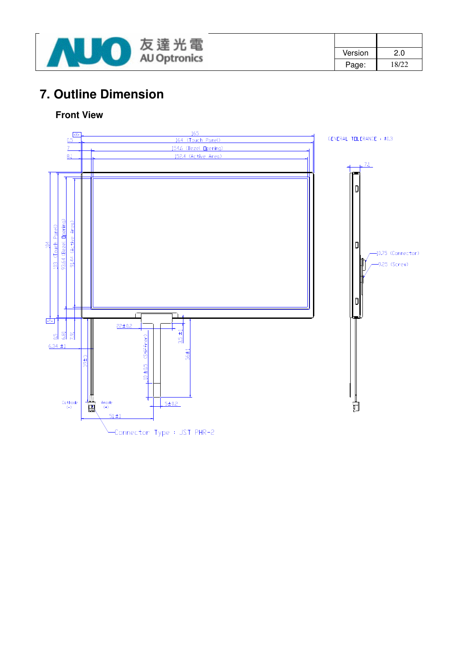

| Version | 2.0   |
|---------|-------|
| Page:   | 18/22 |

# **7. Outline Dimension**

#### **Front View**

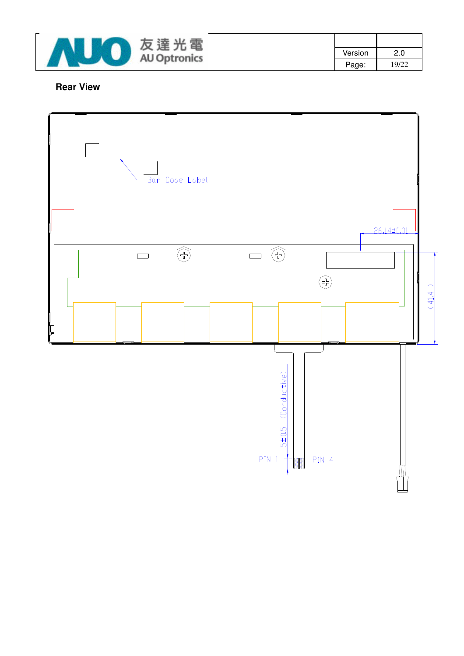

| Version | 2.0   |
|---------|-------|
| Page:   | 19/22 |

#### **Rear View**

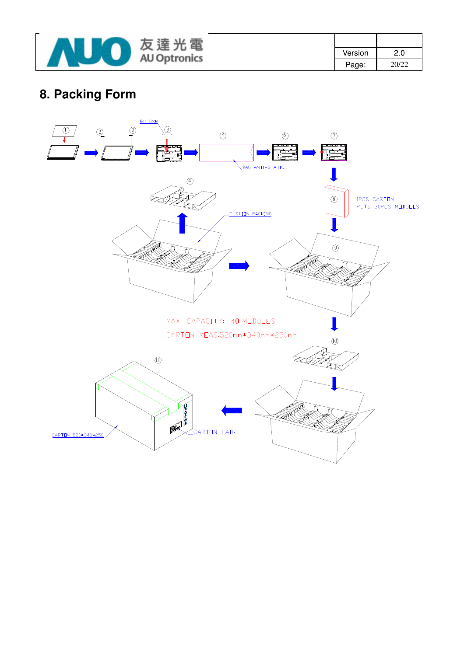

| Version | 2.0   |
|---------|-------|
| Page:   | 20/22 |

# **8. Packing Form**

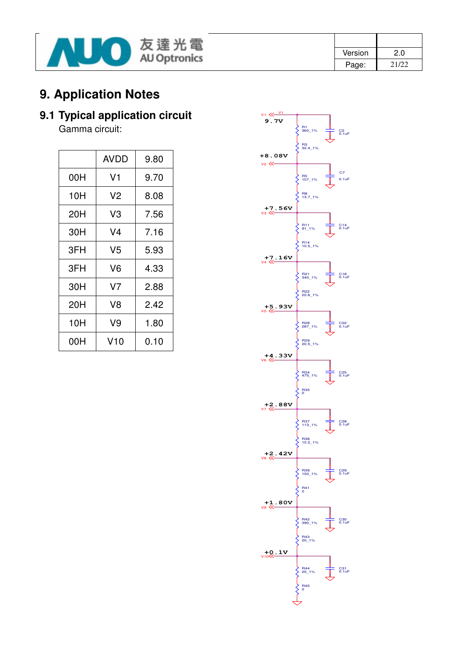

| Version | 2.0   |
|---------|-------|
| Page:   | 21/22 |

# **9. Application Notes**

# **9.1 Typical application circuit**

Gamma circuit:

|     | AVDD | 9.80 |
|-----|------|------|
| 00H | V1   | 9.70 |
| 10H | V2   | 8.08 |
| 20H | V3   | 7.56 |
| 30H | V4   | 7.16 |
| 3FH | V5   | 5.93 |
| 3FH | V6   | 4.33 |
| 30H | V7   | 2.88 |
| 20H | V8   | 2.42 |
| 10H | V9   | 1.80 |
| 00H | V10  | 0.10 |